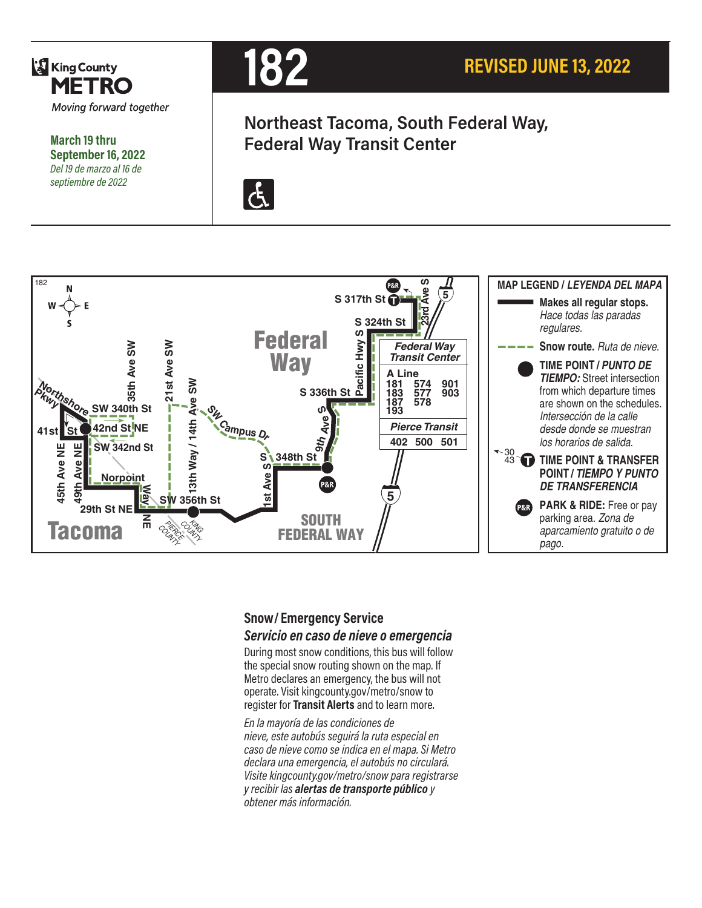

**March 19 thru September 16, 2022** *Del 19 de marzo al 16 de septiembre de 2022*



**Northeast Tacoma, South Federal Way, Federal Way Transit Center**





#### **Snow/ Emergency Service**  *Servicio en caso de nieve o emergencia*

During most snow conditions, this bus will follow the special snow routing shown on the map. If Metro declares an emergency, the bus will not operate. Visit kingcounty.gov/metro/snow to register for **Transit Alerts** and to learn more.

*En la mayoría de las condiciones de nieve, este autobús seguirá la ruta especial en caso de nieve como se indica en el mapa. Si Metro declara una emergencia, el autobús no circulará. Visite kingcounty.gov/metro/snow para registrarse y recibir las alertas de transporte público y obtener más información.*